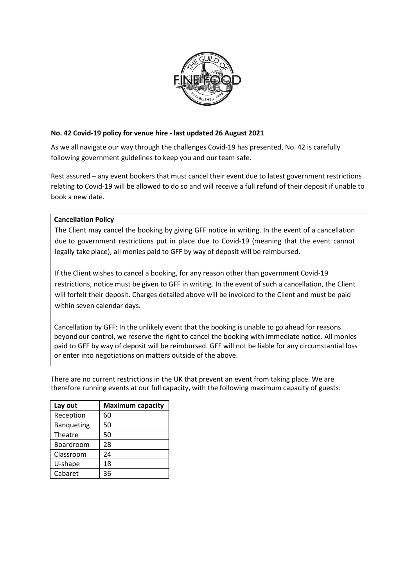

## **No. 42 Covid-19 policy for venue hire - last updated 26 August 2021**

As we all navigate our way through the challenges Covid-19 has presented, No. 42 is carefully following government guidelines to keep you and our team safe.

Rest assured – any event bookers that must cancel their event due to latest government restrictions relating to Covid-19 will be allowed to do so and will receive a full refund of their deposit if unable to book a new date.

## **Cancellation Policy**

The Client may cancel the booking by giving GFF notice in writing. In the event of a cancellation due to government restrictions put in place due to Covid-19 (meaning that the event cannot legally take place), all monies paid to GFF by way of deposit will be reimbursed.

If the Client wishes to cancel a booking, for any reason other than government Covid-19 restrictions, notice must be given to GFF in writing. In the event of such a cancellation, the Client will forfeit their deposit. Charges detailed above will be invoiced to the Client and must be paid within seven calendar days.

Cancellation by GFF: In the unlikely event that the booking is unable to go ahead for reasons beyond our control, we reserve the right to cancel the booking with immediate notice. All monies paid to GFF by way of deposit will be reimbursed. GFF will not be liable for any circumstantial loss or enter into negotiations on matters outside of the above.

There are no current restrictions in the UK that prevent an event from taking place. We are therefore running events at our full capacity, with the following maximum capacity of guests:

| Lay out           | <b>Maximum capacity</b> |
|-------------------|-------------------------|
| Reception         | 60                      |
| <b>Banqueting</b> | 50                      |
| Theatre           | 50                      |
| Boardroom         | 28                      |
| Classroom         | 24                      |
| U-shape           | 18                      |
| Cabaret           | 36                      |